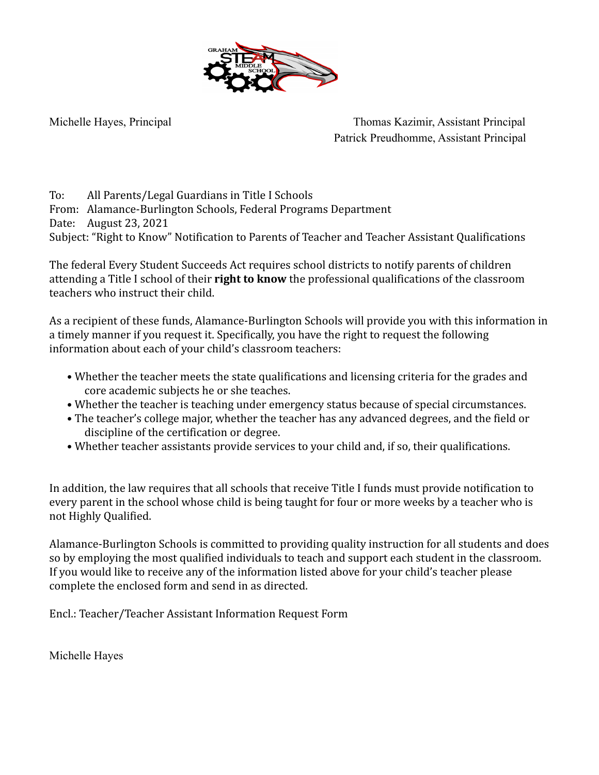

Michelle Hayes, Principal Thomas Kazimir, Assistant Principal Patrick Preudhomme, Assistant Principal

To: All Parents/Legal Guardians in Title I Schools From: Alamance-Burlington Schools, Federal Programs Department Date: August 23, 2021 Subject: "Right to Know" Notification to Parents of Teacher and Teacher Assistant Qualifications

The federal Every Student Succeeds Act requires school districts to notify parents of children attending a Title I school of their **right to know** the professional qualifications of the classroom teachers who instruct their child.

As a recipient of these funds, Alamance-Burlington Schools will provide you with this information in a timely manner if you request it. Specifically, you have the right to request the following information about each of your child's classroom teachers:

- Whether the teacher meets the state qualifications and licensing criteria for the grades and core academic subjects he or she teaches.
- Whether the teacher is teaching under emergency status because of special circumstances.
- The teacher's college major, whether the teacher has any advanced degrees, and the field or discipline of the certification or degree.
- Whether teacher assistants provide services to your child and, if so, their qualifications.

In addition, the law requires that all schools that receive Title I funds must provide notification to every parent in the school whose child is being taught for four or more weeks by a teacher who is not Highly Qualified.

Alamance-Burlington Schools is committed to providing quality instruction for all students and does so by employing the most qualified individuals to teach and support each student in the classroom. If you would like to receive any of the information listed above for your child's teacher please complete the enclosed form and send in as directed.

Encl.: Teacher/Teacher Assistant Information Request Form

Michelle Hayes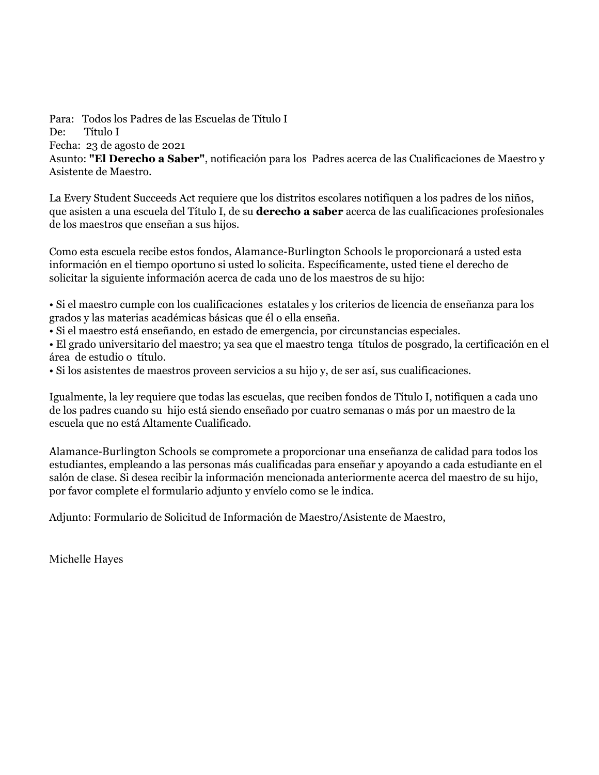Para: Todos los Padres de las Escuelas de Título I De: Título I Fecha: 23 de agosto de 2021 Asunto: **"El Derecho a Saber"**, notificación para los Padres acerca de las Cualificaciones de Maestro y Asistente de Maestro.

La Every Student Succeeds Act requiere que los distritos escolares notifiquen a los padres de los niños, que asisten a una escuela del Título I, de su **derecho a saber** acerca de las cualificaciones profesionales de los maestros que enseñan a sus hijos.

Como esta escuela recibe estos fondos, Alamance-Burlington Schools le proporcionará a usted esta información en el tiempo oportuno si usted lo solicita. Específicamente, usted tiene el derecho de solicitar la siguiente información acerca de cada uno de los maestros de su hijo:

• Si el maestro cumple con los cualificaciones estatales y los criterios de licencia de enseñanza para los grados y las materias académicas básicas que él o ella enseña.

• Si el maestro está enseñando, en estado de emergencia, por circunstancias especiales.

• El grado universitario del maestro; ya sea que el maestro tenga títulos de posgrado, la certificación en el área de estudio o título.

• Si los asistentes de maestros proveen servicios a su hijo y, de ser así, sus cualificaciones.

Igualmente, la ley requiere que todas las escuelas, que reciben fondos de Título I, notifiquen a cada uno de los padres cuando su hijo está siendo enseñado por cuatro semanas o más por un maestro de la escuela que no está Altamente Cualificado.

Alamance-Burlington Schools se compromete a proporcionar una enseñanza de calidad para todos los estudiantes, empleando a las personas más cualificadas para enseñar y apoyando a cada estudiante en el salón de clase. Si desea recibir la información mencionada anteriormente acerca del maestro de su hijo, por favor complete el formulario adjunto y envíelo como se le indica.

Adjunto: Formulario de Solicitud de Información de Maestro/Asistente de Maestro,

Michelle Hayes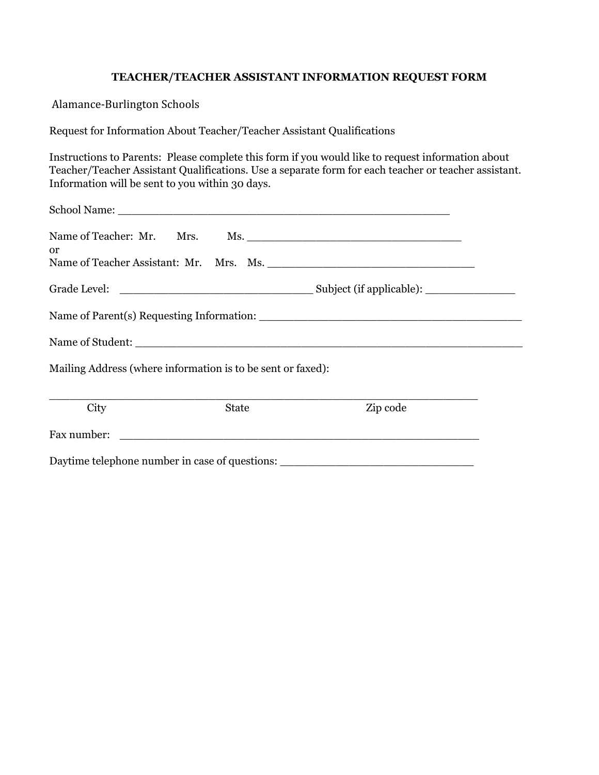## **TEACHER/TEACHER ASSISTANT INFORMATION REQUEST FORM**

Alamance-Burlington Schools

Request for Information About Teacher/Teacher Assistant Qualifications

Instructions to Parents: Please complete this form if you would like to request information about Teacher/Teacher Assistant Qualifications. Use a separate form for each teacher or teacher assistant. Information will be sent to you within 30 days.

| <b>or</b> |                                                             | Name of Teacher: Mr. Mrs. Ms. 1997. Ms. 1997. Ms. 2008. Manual Museum Museum Museum Museum Museum Museum Museum Museum Museum Museum Museum Museum Museum Museum Museum Museum Museum Museum Museum Museum Museum Museum Museu |  |  |  |
|-----------|-------------------------------------------------------------|--------------------------------------------------------------------------------------------------------------------------------------------------------------------------------------------------------------------------------|--|--|--|
|           |                                                             | Name of Teacher Assistant: Mr. Mrs. Ms. 1998. Manual Manual Manual Manual Manual Manual Manual Manual Manual Ma                                                                                                                |  |  |  |
|           |                                                             |                                                                                                                                                                                                                                |  |  |  |
|           |                                                             |                                                                                                                                                                                                                                |  |  |  |
|           |                                                             |                                                                                                                                                                                                                                |  |  |  |
|           | Mailing Address (where information is to be sent or faxed): |                                                                                                                                                                                                                                |  |  |  |
| City      | State                                                       | Zip code                                                                                                                                                                                                                       |  |  |  |
|           |                                                             | Fax number:                                                                                                                                                                                                                    |  |  |  |
|           |                                                             | Daytime telephone number in case of questions: _________________________________                                                                                                                                               |  |  |  |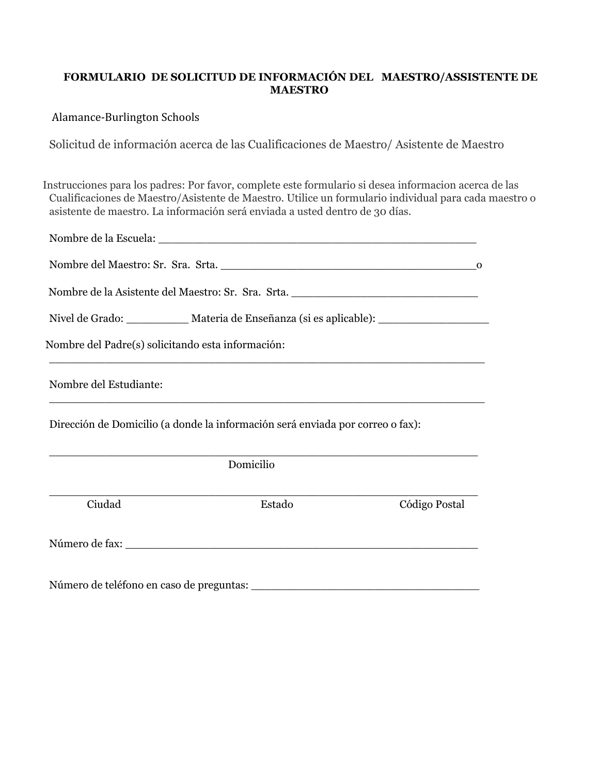# **FORMULARIO DE SOLICITUD DE INFORMACIÓN DEL MAESTRO/ASSISTENTE DE MAESTRO**

### Alamance-Burlington Schools

Solicitud de información acerca de las Cualificaciones de Maestro/ Asistente de Maestro

Instrucciones para los padres: Por favor, complete este formulario si desea informacion acerca de las Cualificaciones de Maestro/Asistente de Maestro. Utilice un formulario individual para cada maestro o asistente de maestro. La información será enviada a usted dentro de 30 días.

|                                                   | Nombre de la Asistente del Maestro: Sr. Sra. Srta. ______________________________                                                                                                                                                  |               |  |  |  |
|---------------------------------------------------|------------------------------------------------------------------------------------------------------------------------------------------------------------------------------------------------------------------------------------|---------------|--|--|--|
|                                                   | Nivel de Grado: ______________ Materia de Enseñanza (si es aplicable): _____________________________                                                                                                                               |               |  |  |  |
| Nombre del Padre(s) solicitando esta información: |                                                                                                                                                                                                                                    |               |  |  |  |
| Nombre del Estudiante:                            |                                                                                                                                                                                                                                    |               |  |  |  |
|                                                   | Dirección de Domicilio (a donde la información será enviada por correo o fax):                                                                                                                                                     |               |  |  |  |
|                                                   | Domicilio                                                                                                                                                                                                                          |               |  |  |  |
| Ciudad                                            | Estado                                                                                                                                                                                                                             | Código Postal |  |  |  |
|                                                   |                                                                                                                                                                                                                                    |               |  |  |  |
|                                                   | Número de teléfono en caso de preguntas:<br>alimento de teléfono en caso de preguntas:<br>alimento de la pregunta de la pregunta de la pregunta de la proporción de la proporción de la proporción de la proporción de la proporci |               |  |  |  |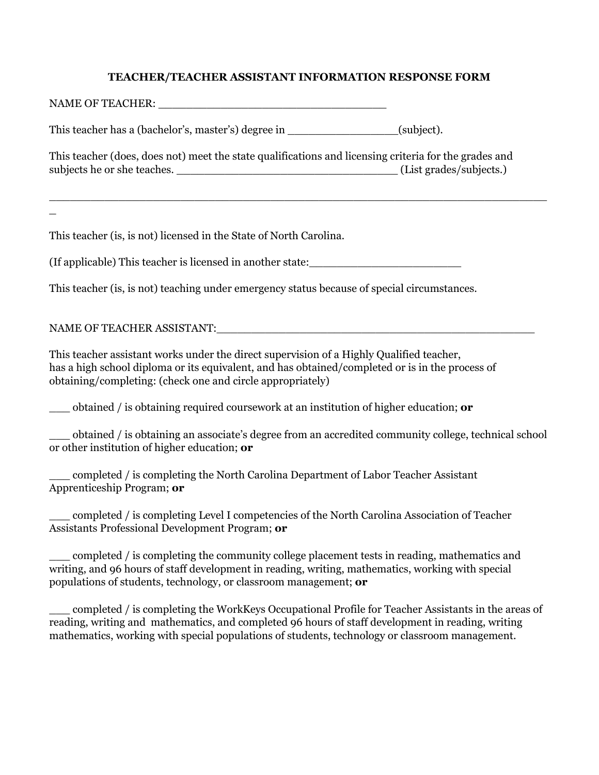### **TEACHER/TEACHER ASSISTANT INFORMATION RESPONSE FORM**

 $\_$  , and the set of the set of the set of the set of the set of the set of the set of the set of the set of the set of the set of the set of the set of the set of the set of the set of the set of the set of the set of th

| NAME OF TEACHER:                                                                                                                     |                         |
|--------------------------------------------------------------------------------------------------------------------------------------|-------------------------|
| This teacher has a (bachelor's, master's) degree in                                                                                  | (subject).              |
| This teacher (does, does not) meet the state qualifications and licensing criteria for the grades and<br>subjects he or she teaches. | (List grades/subjects.) |

This teacher (is, is not) licensed in the State of North Carolina.

(If applicable) This teacher is licensed in another state:\_\_\_\_\_\_\_\_\_\_\_\_\_\_\_\_\_\_\_\_\_\_

This teacher (is, is not) teaching under emergency status because of special circumstances.

### NAME OF TEACHER ASSISTANT:

 $\overline{\phantom{a}}$ 

This teacher assistant works under the direct supervision of a Highly Qualified teacher, has a high school diploma or its equivalent, and has obtained/completed or is in the process of obtaining/completing: (check one and circle appropriately)

\_\_\_ obtained / is obtaining required coursework at an institution of higher education; **or**

\_\_\_ obtained / is obtaining an associate's degree from an accredited community college, technical school or other institution of higher education; **or**

\_\_\_ completed / is completing the North Carolina Department of Labor Teacher Assistant Apprenticeship Program; **or**

\_\_\_ completed / is completing Level I competencies of the North Carolina Association of Teacher Assistants Professional Development Program; **or**

\_\_\_ completed / is completing the community college placement tests in reading, mathematics and writing, and 96 hours of staff development in reading, writing, mathematics, working with special populations of students, technology, or classroom management; **or**

\_\_\_ completed / is completing the WorkKeys Occupational Profile for Teacher Assistants in the areas of reading, writing and mathematics, and completed 96 hours of staff development in reading, writing mathematics, working with special populations of students, technology or classroom management.